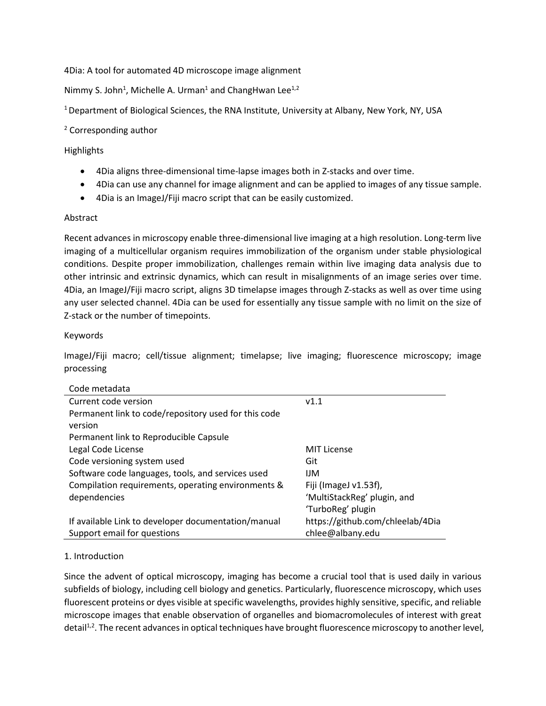4Dia: A tool for automated 4D microscope image alignment

Nimmy S. John<sup>1</sup>, Michelle A. Urman<sup>1</sup> and ChangHwan Lee<sup>1,2</sup>

<sup>1</sup> Department of Biological Sciences, the RNA Institute, University at Albany, New York, NY, USA

## <sup>2</sup> Corresponding author

## **Highlights**

- 4Dia aligns three-dimensional time-lapse images both in Z-stacks and over time.
- 4Dia can use any channel for image alignment and can be applied to images of any tissue sample.
- 4Dia is an ImageJ/Fiji macro script that can be easily customized.

## Abstract

Recent advances in microscopy enable three-dimensional live imaging at a high resolution. Long-term live imaging of a multicellular organism requires immobilization of the organism under stable physiological conditions. Despite proper immobilization, challenges remain within live imaging data analysis due to other intrinsic and extrinsic dynamics, which can result in misalignments of an image series over time. 4Dia, an ImageJ/Fiji macro script, aligns 3D timelapse images through Z-stacks as well as over time using any user selected channel. 4Dia can be used for essentially any tissue sample with no limit on the size of Z-stack or the number of timepoints.

### Keywords

ImageJ/Fiji macro; cell/tissue alignment; timelapse; live imaging; fluorescence microscopy; image processing

| Code metadata                                        |                                  |
|------------------------------------------------------|----------------------------------|
| Current code version                                 | v1.1                             |
| Permanent link to code/repository used for this code |                                  |
| version                                              |                                  |
| Permanent link to Reproducible Capsule               |                                  |
| Legal Code License                                   | <b>MIT License</b>               |
| Code versioning system used                          | Git                              |
| Software code languages, tools, and services used    | IJМ                              |
| Compilation requirements, operating environments &   | Fiji (ImageJ v1.53f),            |
| dependencies                                         | 'MultiStackReg' plugin, and      |
|                                                      | 'TurboReg' plugin                |
| If available Link to developer documentation/manual  | https://github.com/chleelab/4Dia |
| Support email for questions                          | chlee@albany.edu                 |

# 1. Introduction

Since the advent of optical microscopy, imaging has become a crucial tool that is used daily in various subfields of biology, including cell biology and genetics. Particularly, fluorescence microscopy, which uses fluorescent proteins or dyes visible at specific wavelengths, provides highly sensitive, specific, and reliable microscope images that enable observation of organelles and biomacromolecules of interest with great detail<sup>1,2</sup>. The recent advances in optical techniques have brought fluorescence microscopy to another level,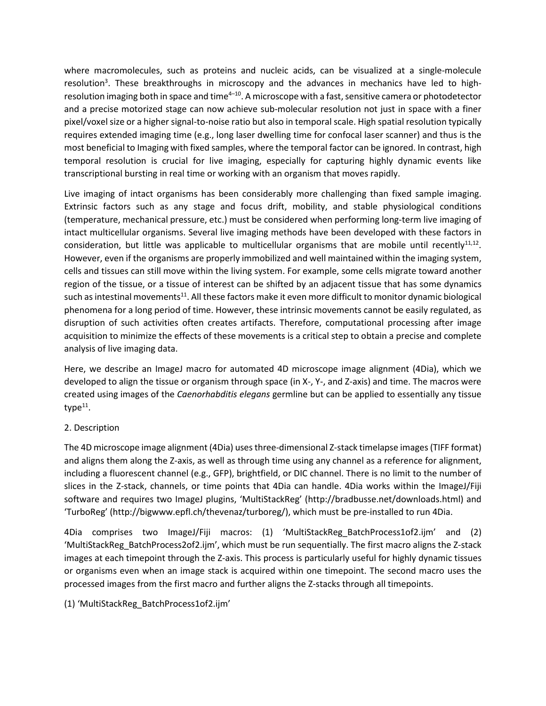where macromolecules, such as proteins and nucleic acids, can be visualized at a single-molecule resolution<sup>3</sup>. These breakthroughs in microscopy and the advances in mechanics have led to highresolution imaging both in space and time<sup>4-10</sup>. A microscope with a fast, sensitive camera or photodetector and a precise motorized stage can now achieve sub-molecular resolution not just in space with a finer pixel/voxel size or a higher signal-to-noise ratio but also in temporal scale. High spatial resolution typically requires extended imaging time (e.g., long laser dwelling time for confocal laser scanner) and thus is the most beneficial to Imaging with fixed samples, where the temporal factor can be ignored. In contrast, high temporal resolution is crucial for live imaging, especially for capturing highly dynamic events like transcriptional bursting in real time or working with an organism that moves rapidly.

Live imaging of intact organisms has been considerably more challenging than fixed sample imaging. Extrinsic factors such as any stage and focus drift, mobility, and stable physiological conditions (temperature, mechanical pressure, etc.) must be considered when performing long-term live imaging of intact multicellular organisms. Several live imaging methods have been developed with these factors in consideration, but little was applicable to multicellular organisms that are mobile until recently $^{11,12}$ . However, even if the organisms are properly immobilized and well maintained within the imaging system, cells and tissues can still move within the living system. For example, some cells migrate toward another region of the tissue, or a tissue of interest can be shifted by an adjacent tissue that has some dynamics such as intestinal movements<sup>11</sup>. All these factors make it even more difficult to monitor dynamic biological phenomena for a long period of time. However, these intrinsic movements cannot be easily regulated, as disruption of such activities often creates artifacts. Therefore, computational processing after image acquisition to minimize the effects of these movements is a critical step to obtain a precise and complete analysis of live imaging data.

Here, we describe an ImageJ macro for automated 4D microscope image alignment (4Dia), which we developed to align the tissue or organism through space (in X-, Y-, and Z-axis) and time. The macros were created using images of the *Caenorhabditis elegans* germline but can be applied to essentially any tissue type $11$ .

# 2. Description

The 4D microscope image alignment (4Dia) uses three-dimensional Z-stack timelapse images(TIFF format) and aligns them along the Z-axis, as well as through time using any channel as a reference for alignment, including a fluorescent channel (e.g., GFP), brightfield, or DIC channel. There is no limit to the number of slices in the Z-stack, channels, or time points that 4Dia can handle. 4Dia works within the ImageJ/Fiji software and requires two ImageJ plugins, 'MultiStackReg' (http://bradbusse.net/downloads.html) and 'TurboReg' (http://bigwww.epfl.ch/thevenaz/turboreg/), which must be pre-installed to run 4Dia.

4Dia comprises two ImageJ/Fiji macros: (1) 'MultiStackReg\_BatchProcess1of2.ijm' and (2) 'MultiStackReg\_BatchProcess2of2.ijm', which must be run sequentially. The first macro aligns the Z-stack images at each timepoint through the Z-axis. This process is particularly useful for highly dynamic tissues or organisms even when an image stack is acquired within one timepoint. The second macro uses the processed images from the first macro and further aligns the Z-stacks through all timepoints.

# (1) 'MultiStackReg\_BatchProcess1of2.ijm'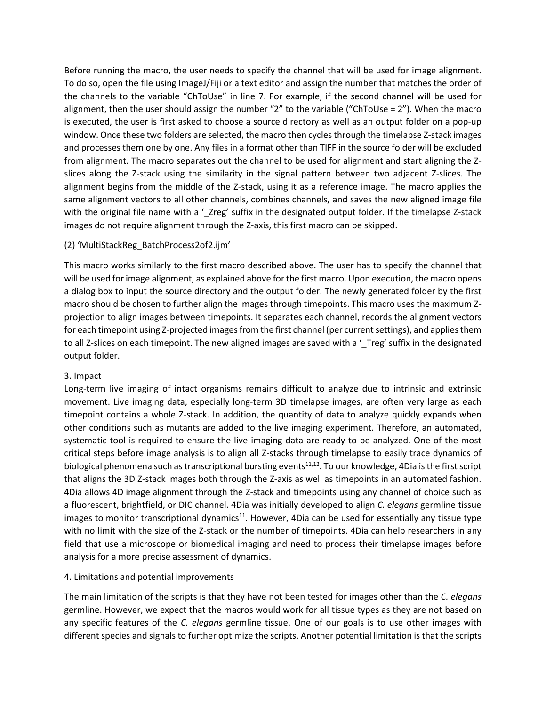Before running the macro, the user needs to specify the channel that will be used for image alignment. To do so, open the file using ImageJ/Fiji or a text editor and assign the number that matches the order of the channels to the variable "ChToUse" in line 7. For example, if the second channel will be used for alignment, then the user should assign the number "2" to the variable ("ChToUse = 2"). When the macro is executed, the user is first asked to choose a source directory as well as an output folder on a pop-up window. Once these two folders are selected, the macro then cycles through the timelapse Z-stack images and processes them one by one. Any files in a format other than TIFF in the source folder will be excluded from alignment. The macro separates out the channel to be used for alignment and start aligning the Zslices along the Z-stack using the similarity in the signal pattern between two adjacent Z-slices. The alignment begins from the middle of the Z-stack, using it as a reference image. The macro applies the same alignment vectors to all other channels, combines channels, and saves the new aligned image file with the original file name with a ' Zreg' suffix in the designated output folder. If the timelapse Z-stack images do not require alignment through the Z-axis, this first macro can be skipped.

## (2) 'MultiStackReg\_BatchProcess2of2.ijm'

This macro works similarly to the first macro described above. The user has to specify the channel that will be used for image alignment, as explained above for the first macro. Upon execution, the macro opens a dialog box to input the source directory and the output folder. The newly generated folder by the first macro should be chosen to further align the images through timepoints. This macro uses the maximum Zprojection to align images between timepoints. It separates each channel, records the alignment vectors for each timepoint using Z-projected images from the first channel (per current settings), and applies them to all Z-slices on each timepoint. The new aligned images are saved with a '\_Treg' suffix in the designated output folder.

### 3. Impact

Long-term live imaging of intact organisms remains difficult to analyze due to intrinsic and extrinsic movement. Live imaging data, especially long-term 3D timelapse images, are often very large as each timepoint contains a whole Z-stack. In addition, the quantity of data to analyze quickly expands when other conditions such as mutants are added to the live imaging experiment. Therefore, an automated, systematic tool is required to ensure the live imaging data are ready to be analyzed. One of the most critical steps before image analysis is to align all Z-stacks through timelapse to easily trace dynamics of biological phenomena such as transcriptional bursting events<sup>11,12</sup>. To our knowledge, 4Dia is the first script that aligns the 3D Z-stack images both through the Z-axis as well as timepoints in an automated fashion. 4Dia allows 4D image alignment through the Z-stack and timepoints using any channel of choice such as a fluorescent, brightfield, or DIC channel. 4Dia was initially developed to align *C. elegans* germline tissue images to monitor transcriptional dynamics $^{11}$ . However, 4Dia can be used for essentially any tissue type with no limit with the size of the Z-stack or the number of timepoints. 4Dia can help researchers in any field that use a microscope or biomedical imaging and need to process their timelapse images before analysis for a more precise assessment of dynamics.

### 4. Limitations and potential improvements

The main limitation of the scripts is that they have not been tested for images other than the *C. elegans* germline. However, we expect that the macros would work for all tissue types as they are not based on any specific features of the *C. elegans* germline tissue. One of our goals is to use other images with different species and signals to further optimize the scripts. Another potential limitation is that the scripts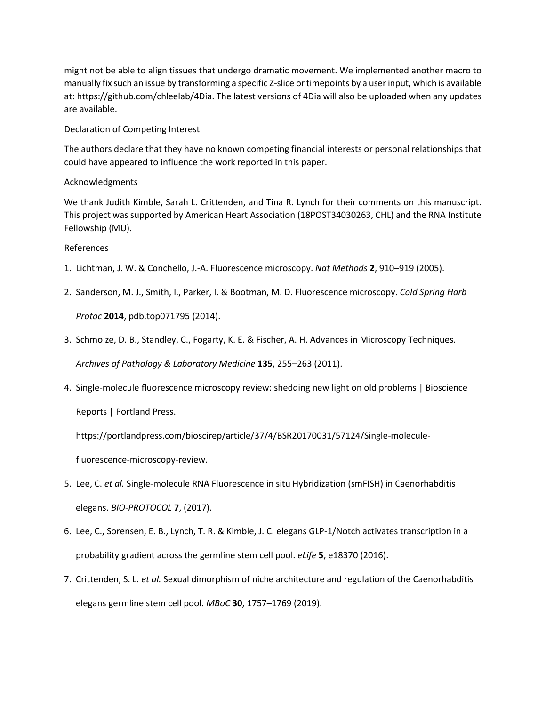might not be able to align tissues that undergo dramatic movement. We implemented another macro to manually fix such an issue by transforming a specific Z-slice or timepoints by a user input, which is available at: https://github.com/chleelab/4Dia. The latest versions of 4Dia will also be uploaded when any updates are available.

Declaration of Competing Interest

The authors declare that they have no known competing financial interests or personal relationships that could have appeared to influence the work reported in this paper.

#### Acknowledgments

We thank Judith Kimble, Sarah L. Crittenden, and Tina R. Lynch for their comments on this manuscript. This project was supported by American Heart Association (18POST34030263, CHL) and the RNA Institute Fellowship (MU).

#### References

- 1. Lichtman, J. W. & Conchello, J.-A. Fluorescence microscopy. *Nat Methods* **2**, 910–919 (2005).
- 2. Sanderson, M. J., Smith, I., Parker, I. & Bootman, M. D. Fluorescence microscopy. *Cold Spring Harb Protoc* **2014**, pdb.top071795 (2014).
- 3. Schmolze, D. B., Standley, C., Fogarty, K. E. & Fischer, A. H. Advances in Microscopy Techniques.

*Archives of Pathology & Laboratory Medicine* **135**, 255–263 (2011).

4. Single-molecule fluorescence microscopy review: shedding new light on old problems | Bioscience

Reports | Portland Press.

https://portlandpress.com/bioscirep/article/37/4/BSR20170031/57124/Single-molecule-

fluorescence-microscopy-review.

- 5. Lee, C. *et al.* Single-molecule RNA Fluorescence in situ Hybridization (smFISH) in Caenorhabditis elegans. *BIO-PROTOCOL* **7**, (2017).
- 6. Lee, C., Sorensen, E. B., Lynch, T. R. & Kimble, J. C. elegans GLP-1/Notch activates transcription in a probability gradient across the germline stem cell pool. *eLife* **5**, e18370 (2016).
- 7. Crittenden, S. L. *et al.* Sexual dimorphism of niche architecture and regulation of the Caenorhabditis elegans germline stem cell pool. *MBoC* **30**, 1757–1769 (2019).